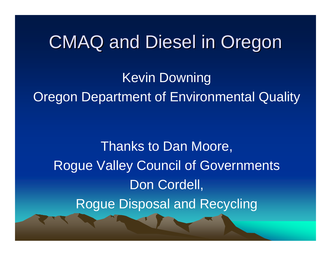# CMAQ and Diesel in Oregon

Kevin Downing Oregon Department of Environmental Quality

Thanks to Dan Moore, Rogue Valley Council of Governments Don Cordell, Rogue Disposal and Recycling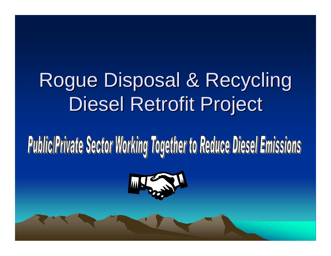# Rogue Disposal & Recycling Diesel Retrofit Project

# **Public Private Sector Working Together to Reduce Diesel Emissions**

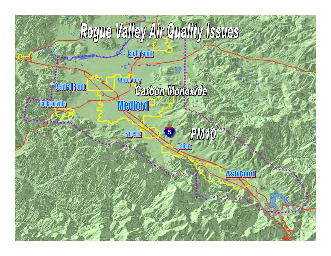# Rogue Valley Air Quality Issues

**Fayle Point** 

**Phoenix** 

- **Contral Point**
- **Jacksomille**
- *Party Services Committee* **VERS**
- **While Cliv Carbon Monoxide** Wedford **These** 
	- **PM10**  $\overline{\phantom{a}}$ <u>Talent</u>
		- **Ashland**

a la Caracción

**Robinson** 

**Community in Card Advertising Community**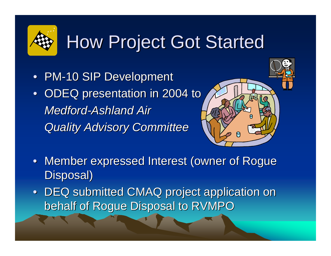# **How Project Got Started**

- PM-10 SIP Development
- ODEQ presentation in 2004 to *Medford-Ashland Air Quality Advisory Committee Quality Advisory Committee*



- Member expressed Interest (owner of Rogue Disposal)
- DEQ submitted CMAQ project application on behalf of Rogue Disposal to RVMPO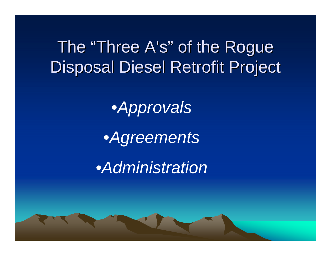## The "Three A's" of the Rogue Disposal Diesel Retrofit Project

•*Approvals*

•*Agreements*

•*Administration*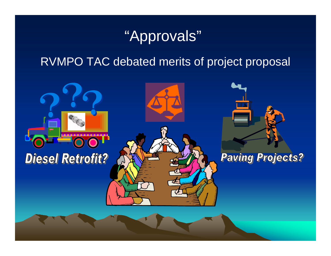## "Approvals"

#### RVMPO TAC debated merits of project proposal

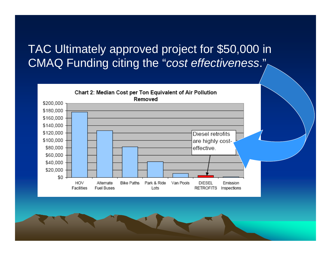#### TAC Ultimately approved project for \$50,000 in CMAQ Funding citing the "*cost effectiveness*."

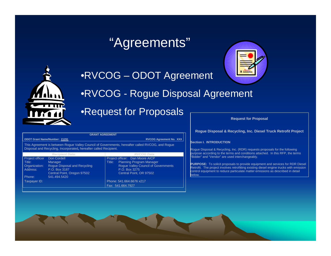### "Agreements"



#### •RVCOG – ODOT Agreement

•RVCOG - Rogue Disposal Agreement

#### •Request for Proposals

**Request for Proposal** 

#### **Rogue Disposal & Recycling, Inc. Diesel Truck Retrofit Project**

#### **Section I. INTRODUCTION**

Rogue Disposal & Recycling, Inc. (RDR) requests proposals for the following purpose according to the terms and conditions attached. In this RFP, the terms "Bidder" and "Vendor" are used interchangeably.

**PURPOSE:** To solicit proposals to provide equipment and services for RDR Diesel Retrofit. The project involves retrofitting existing diesel engine trucks with emission control equipment to reduce particulate matter emissions as described in detail below.

| <b>GRANT AGREEMENT</b>                                                                                                                                                |                                                                                                                               |                                                                                                                                                                        |
|-----------------------------------------------------------------------------------------------------------------------------------------------------------------------|-------------------------------------------------------------------------------------------------------------------------------|------------------------------------------------------------------------------------------------------------------------------------------------------------------------|
| <b>ODOT Grant Name/Number: 21291</b>                                                                                                                                  |                                                                                                                               | <b>RVCOG Agreement No. XXX</b>                                                                                                                                         |
| This Agreement is between Roque Valley Council of Governments, hereafter called RVCOG, and Roque<br>Disposal and Recycling, Incorporated, hereafter called Recipient. |                                                                                                                               |                                                                                                                                                                        |
|                                                                                                                                                                       | <b>Recipient Data:</b>                                                                                                        | <b>RVCOG Data</b>                                                                                                                                                      |
| Project officer<br>Title:<br>Organization:<br>Address:<br>Phone:                                                                                                      | Don Cordell<br><b>Manager</b><br>Roque Disposal and Recycling<br>P.O. Box 3187<br>Central Point, Oregon 97502<br>541.494.5420 | Project officer: Dan Moore AICP<br><b>Planning Program Manager</b><br>Title:<br><b>Roque Valley Council of Governments</b><br>P.O. Box 3275<br>Central Point, OR 97502 |
| Taxpayer ID:                                                                                                                                                          |                                                                                                                               | Phone: 541.664.6676 x217<br>Fax: 541.664.7927                                                                                                                          |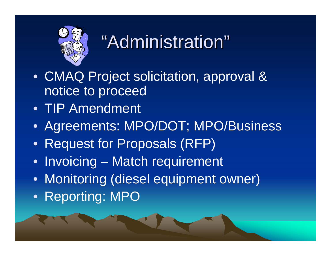

# "Administration"

- CMAQ Project solicitation, approval & notice to proceed
- TIP Amendment
- Agreements: MPO/DOT; MPO/Business
- Request for Proposals (RFP)
- Invoicing Match requirement
- Monitoring (diesel equipment owner)
- Reporting: MPO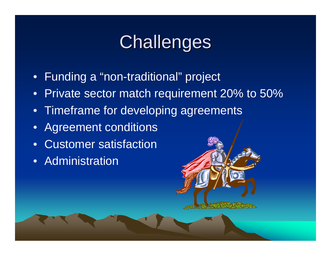# Challenges

- Funding a "non-traditional" project
- Private sector match requirement 20% to 50%
- Timeframe for developing agreements
- $\bullet$ Agreement conditions
- $\bullet$ Customer satisfaction
- Administration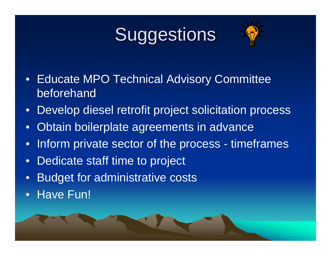# Suggestions



- Educate MPO Technical Advisory Committee beforehand
- Develop diesel retrofit project solicitation process
- $\bullet$ Obtain boilerplate agreements in advance
- •Inform private sector of the process - timeframes
- •Dedicate staff time to project
- •Budget for administrative costs
- •Have Fun!